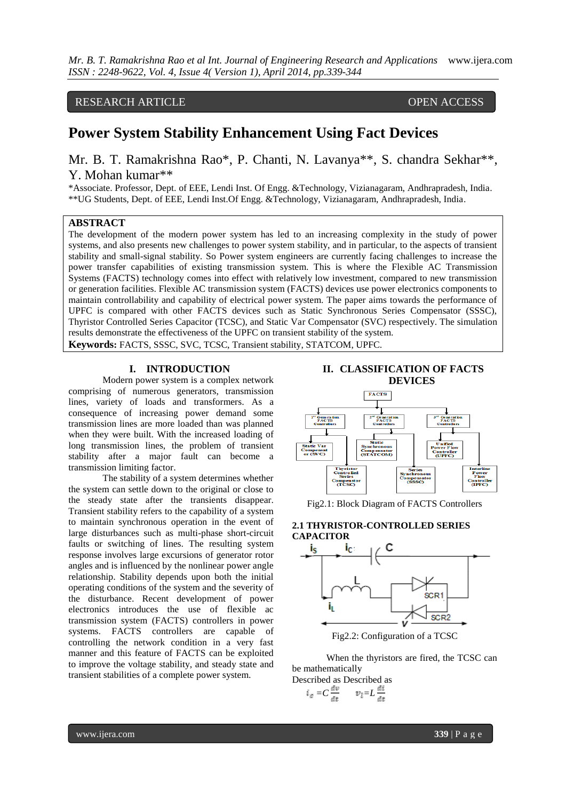*Mr. B. T. Ramakrishna Rao et al Int. Journal of Engineering Research and Applications* www.ijera.com *ISSN : 2248-9622, Vol. 4, Issue 4( Version 1), April 2014, pp.339-344*

RESEARCH ARTICLE OPEN ACCESS

# **Power System Stability Enhancement Using Fact Devices**

Mr. B. T. Ramakrishna Rao\*, P. Chanti, N. Lavanya\*\*, S. chandra Sekhar\*\*, Y. Mohan kumar\*\*

\*Associate. Professor, Dept. of EEE, Lendi Inst. Of Engg. &Technology, Vizianagaram, Andhrapradesh, India. \*\*UG Students, Dept. of EEE, Lendi Inst.Of Engg. &Technology, Vizianagaram, Andhrapradesh, India.

# **ABSTRACT**

The development of the modern power system has led to an increasing complexity in the study of power systems, and also presents new challenges to power system stability, and in particular, to the aspects of transient stability and small-signal stability. So Power system engineers are currently facing challenges to increase the power transfer capabilities of existing transmission system. This is where the Flexible AC Transmission Systems (FACTS) technology comes into effect with relatively low investment, compared to new transmission or generation facilities. Flexible AC transmission system (FACTS) devices use power electronics components to maintain controllability and capability of electrical power system. The paper aims towards the performance of UPFC is compared with other FACTS devices such as Static Synchronous Series Compensator (SSSC), Thyristor Controlled Series Capacitor (TCSC), and Static Var Compensator (SVC) respectively. The simulation results demonstrate the effectiveness of the UPFC on transient stability of the system. **Keywords:** FACTS, SSSC, SVC, TCSC, Transient stability, STATCOM, UPFC.

#### **I. INTRODUCTION**

Modern power system is a complex network comprising of numerous generators, transmission lines, variety of loads and transformers. As a consequence of increasing power demand some transmission lines are more loaded than was planned when they were built. With the increased loading of long transmission lines, the problem of transient stability after a major fault can become a transmission limiting factor.

The stability of a system determines whether the system can settle down to the original or close to the steady state after the transients disappear. Transient stability refers to the capability of a system to maintain synchronous operation in the event of large disturbances such as multi-phase short-circuit faults or switching of lines. The resulting system response involves large excursions of generator rotor angles and is influenced by the nonlinear power angle relationship. Stability depends upon both the initial operating conditions of the system and the severity of the disturbance. Recent development of power electronics introduces the use of flexible ac transmission system (FACTS) controllers in power systems. FACTS controllers are capable of controlling the network condition in a very fast manner and this feature of FACTS can be exploited to improve the voltage stability, and steady state and transient stabilities of a complete power system.





Fig2.1: Block Diagram of FACTS Controllers

#### **2.1 THYRISTOR-CONTROLLED SERIES CAPACITOR**



When the thyristors are fired, the TCSC can be mathematically Described as Described as

$$
i_{\sigma} = C \frac{dv}{dt} \qquad v_l = L \frac{di}{dt}
$$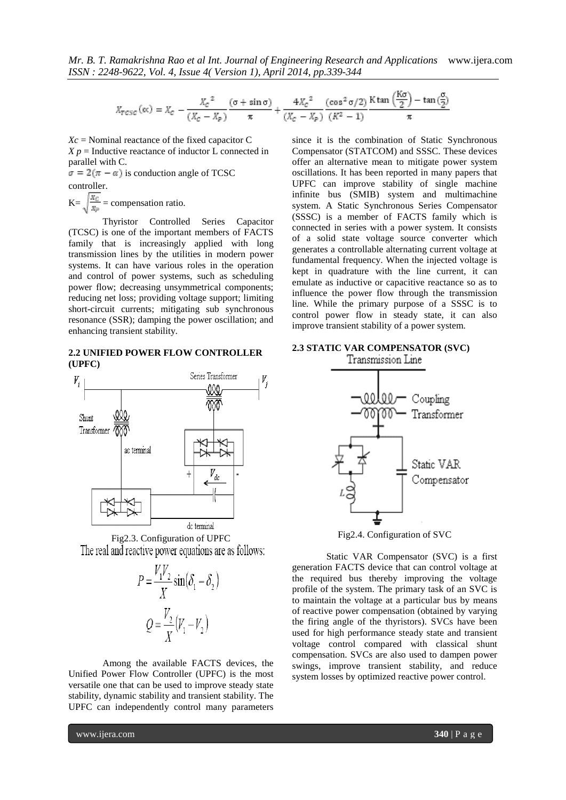$$
X_{TCSC}(\alpha c) = X_C - \frac{X_C^2}{(X_C - X_P)} \frac{(\sigma + \sin \sigma)}{\pi} + \frac{4X_C^2}{(X_C - X_P)} \frac{(\cos^2 \sigma/2)}{(K^2 - 1)} \frac{\text{K} \tan \left(\frac{\text{K}\sigma}{2}\right) - \tan \left(\frac{\sigma}{2}\right)}{\pi}
$$

*Xc* = Nominal reactance of the fixed capacitor C  $X p =$  Inductive reactance of inductor L connected in parallel with C.

 $\sigma = 2(\pi - \alpha)$  is conduction angle of TCSC controller.

 $K=\sqrt{\frac{X_C}{X_P}}$  = compensation ratio.

Thyristor Controlled Series Capacitor (TCSC) is one of the important members of FACTS family that is increasingly applied with long transmission lines by the utilities in modern power systems. It can have various roles in the operation and control of power systems, such as scheduling power flow; decreasing unsymmetrical components; reducing net loss; providing voltage support; limiting short-circuit currents; mitigating sub synchronous resonance (SSR); damping the power oscillation; and enhancing transient stability.

#### **2.2 UNIFIED POWER FLOW CONTROLLER (UPFC)**



Fig2.3. Configuration of UPFC The real and reactive power equations are as follows:

$$
P = \frac{V_1 V_2}{X} \sin(\delta_1 - \delta_2)
$$

$$
Q = \frac{V_2}{X} (V_1 - V_2)
$$

Among the available FACTS devices, the Unified Power Flow Controller (UPFC) is the most versatile one that can be used to improve steady state stability, dynamic stability and transient stability. The UPFC can independently control many parameters

since it is the combination of Static Synchronous Compensator (STATCOM) and SSSC. These devices offer an alternative mean to mitigate power system oscillations. It has been reported in many papers that UPFC can improve stability of single machine infinite bus (SMIB) system and multimachine system. A Static Synchronous Series Compensator (SSSC) is a member of FACTS family which is connected in series with a power system. It consists of a solid state voltage source converter which generates a controllable alternating current voltage at fundamental frequency. When the injected voltage is kept in quadrature with the line current, it can emulate as inductive or capacitive reactance so as to influence the power flow through the transmission line. While the primary purpose of a SSSC is to control power flow in steady state, it can also improve transient stability of a power system.

# **2.3 STATIC VAR COMPENSATOR (SVC)**



Fig2.4. Configuration of SVC

Static VAR Compensator (SVC) is a first generation FACTS device that can control voltage at the required bus thereby improving the voltage profile of the system. The primary task of an SVC is to maintain the voltage at a particular bus by means of reactive power compensation (obtained by varying the firing angle of the thyristors). SVCs have been used for high performance steady state and transient voltage control compared with classical shunt compensation. SVCs are also used to dampen power swings, improve transient stability, and reduce system losses by optimized reactive power control.

www.ijera.com **340** | P a g e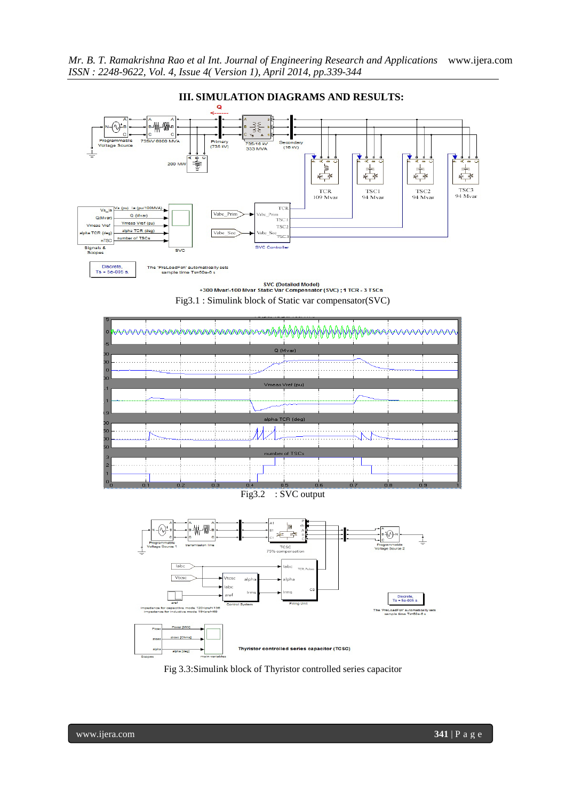

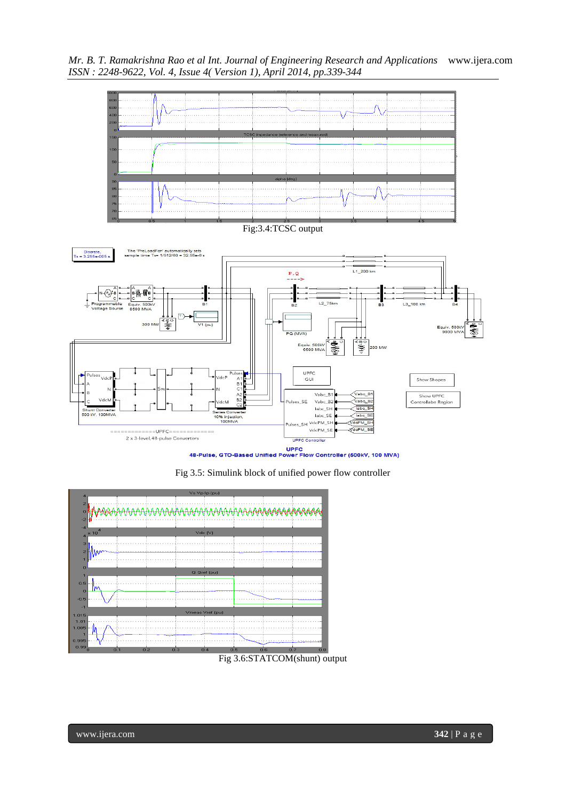*Mr. B. T. Ramakrishna Rao et al Int. Journal of Engineering Research and Applications* www.ijera.com *ISSN : 2248-9622, Vol. 4, Issue 4( Version 1), April 2014, pp.339-344*



UPFC<br>48-Pulse, GTO-Based Unified Power Flow Controller (500kV, 100 MVA)





Fig 3.6:STATCOM(shunt) output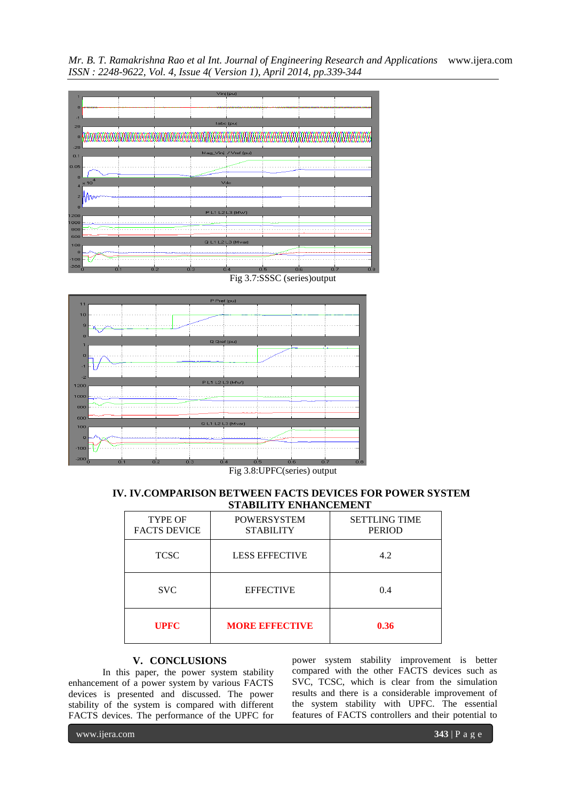*Mr. B. T. Ramakrishna Rao et al Int. Journal of Engineering Research and Applications* www.ijera.com *ISSN : 2248-9622, Vol. 4, Issue 4( Version 1), April 2014, pp.339-344*



Fig 3.7:SSSC (series)output



Fig 3.8:UPFC(series) output

## **IV. IV.COMPARISON BETWEEN FACTS DEVICES FOR POWER SYSTEM STABILITY ENHANCEMENT**

| <b>TYPE OF</b><br><b>FACTS DEVICE</b> | <b>POWERSYSTEM</b><br><b>STABILITY</b> | <b>SETTLING TIME</b><br><b>PERIOD</b> |
|---------------------------------------|----------------------------------------|---------------------------------------|
| <b>TCSC</b>                           | <b>LESS EFFECTIVE</b>                  | 4.2                                   |
| <b>SVC</b>                            | <b>EFFECTIVE</b>                       | 0.4                                   |
| <b>UPFC</b>                           | <b>MORE BRFECTIVE</b>                  | 0.36                                  |

# **V. CONCLUSIONS**

In this paper, the power system stability enhancement of a power system by various FACTS devices is presented and discussed. The power stability of the system is compared with different FACTS devices. The performance of the UPFC for

power system stability improvement is better compared with the other FACTS devices such as SVC, TCSC, which is clear from the simulation results and there is a considerable improvement of the system stability with UPFC. The essential features of FACTS controllers and their potential to